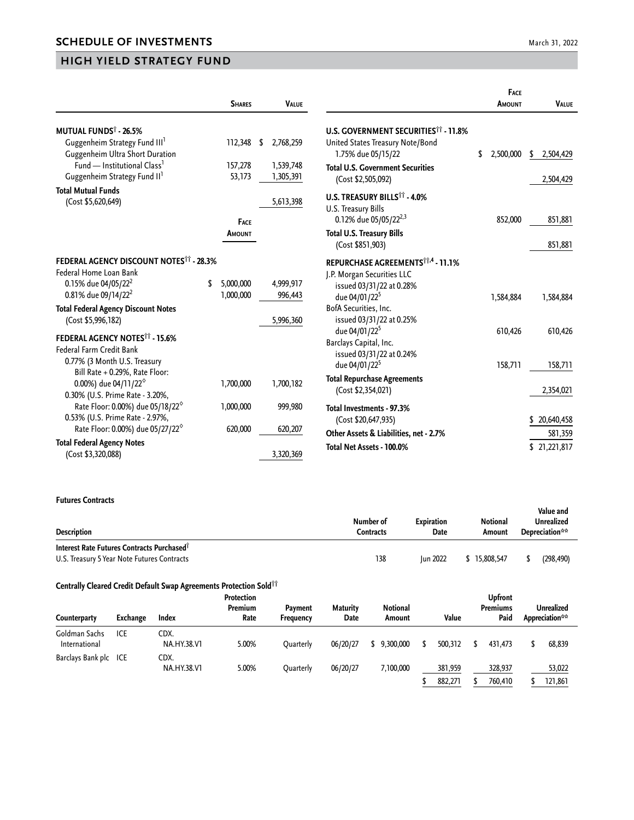## **HIGH YIELD STRATEGY FUND**

|                                                                                     | <b>SHARES</b>     |     | <b>VALUE</b>           |                                                                 | <b>FACE</b><br>AMOUNT | <b>VALUE</b>   |
|-------------------------------------------------------------------------------------|-------------------|-----|------------------------|-----------------------------------------------------------------|-----------------------|----------------|
| <b>MUTUAL FUNDS<sup>†</sup> - 26.5%</b>                                             |                   |     |                        | <b>U.S. GOVERNMENT SECURITIES<sup>11</sup> - 11.8%</b>          |                       |                |
| Guggenheim Strategy Fund III <sup>1</sup><br><b>Guggenheim Ultra Short Duration</b> | 112,348           | -\$ | 2,768,259              | United States Treasury Note/Bond<br>1.75% due 05/15/22          | \$<br>2,500,000       | 2,504,429<br>S |
| Fund — Institutional Class <sup>1</sup><br>Guggenheim Strategy Fund II <sup>1</sup> | 157,278<br>53,173 |     | 1,539,748<br>1,305,391 | <b>Total U.S. Government Securities</b><br>(Cost \$2,505,092)   |                       | 2,504,429      |
| <b>Total Mutual Funds</b>                                                           |                   |     |                        |                                                                 |                       |                |
| (Cost \$5,620,649)                                                                  |                   |     | 5,613,398              | U.S. TREASURY BILLS <sup>11</sup> - 4.0%<br>U.S. Treasury Bills |                       |                |
|                                                                                     | FACE              |     |                        | 0.12% due 05/05/22 <sup>2,3</sup>                               | 852,000               | 851,881        |
|                                                                                     | AMOUNT            |     |                        | <b>Total U.S. Treasury Bills</b><br>(Cost \$851,903)            |                       | 851,881        |
| FEDERAL AGENCY DISCOUNT NOTES <sup>11</sup> - 28.3%                                 |                   |     |                        | REPURCHASE AGREEMENTS <sup>11,4</sup> - 11.1%                   |                       |                |
| Federal Home Loan Bank                                                              |                   |     |                        | J.P. Morgan Securities LLC                                      |                       |                |
| 0.15% due 04/05/22 <sup>2</sup>                                                     | 5,000,000         |     | 4,999,917              | issued 03/31/22 at 0.28%                                        |                       |                |
| 0.81% due 09/14/22 <sup>2</sup>                                                     | 1,000,000         |     | 996,443                | due 04/01/22 <sup>5</sup>                                       | 1,584,884             | 1,584,884      |
| <b>Total Federal Agency Discount Notes</b>                                          |                   |     |                        | BofA Securities, Inc.                                           |                       |                |
| (Cost \$5,996,182)                                                                  |                   |     | 5,996,360              | issued 03/31/22 at 0.25%                                        |                       |                |
| FEDERAL AGENCY NOTES <sup>11</sup> - 15.6%                                          |                   |     |                        | due 04/01/22 <sup>5</sup>                                       | 610,426               | 610,426        |
| <b>Federal Farm Credit Bank</b>                                                     |                   |     |                        | Barclays Capital, Inc.                                          |                       |                |
| 0.77% (3 Month U.S. Treasury                                                        |                   |     |                        | issued 03/31/22 at 0.24%                                        |                       |                |
| Bill Rate + 0.29%, Rate Floor:                                                      |                   |     |                        | due 04/01/22 <sup>5</sup>                                       | 158,711               | 158,711        |
| 0.00%) due 04/11/22 <sup>6</sup>                                                    | 1,700,000         |     | 1,700,182              | <b>Total Repurchase Agreements</b>                              |                       |                |
| 0.30% (U.S. Prime Rate - 3.20%,                                                     |                   |     |                        | (Cost \$2,354,021)                                              |                       | 2,354,021      |
| Rate Floor: 0.00%) due 05/18/22 <sup>6</sup>                                        | 1,000,000         |     | 999,980                | Total Investments - 97.3%                                       |                       |                |
| 0.53% (U.S. Prime Rate - 2.97%,                                                     |                   |     |                        | (Cost \$20,647,935)                                             |                       | \$20,640,458   |
| Rate Floor: 0.00%) due 05/27/22 <sup>6</sup>                                        | 620,000           |     | 620,207                | Other Assets & Liabilities, net - 2.7%                          |                       | 581,359        |
| <b>Total Federal Agency Notes</b>                                                   |                   |     |                        | Total Net Assets - 100.0%                                       |                       | \$21,221,817   |
| (Cost \$3,320,088)                                                                  |                   |     | 3,320,369              |                                                                 |                       |                |

## **Futures Contracts**

| <b>Description</b>                                                                                    | Number of<br>Contracts | <b>Expiration</b><br>Date | Notional<br>Amount | Value and<br>Unrealized<br>Depreciation** |
|-------------------------------------------------------------------------------------------------------|------------------------|---------------------------|--------------------|-------------------------------------------|
| Interest Rate Futures Contracts Purchased <sup>®</sup><br>U.S. Treasury 5 Year Note Futures Contracts | 138                    | <b>Iun 2022</b>           | \$15,808,547       | (298.490)                                 |

## **Centrally Cleared Credit Default Swap Agreements Protection Sold††**

| Counterparty                   | Exchange | Index                      | Protection<br>Premium<br>Rate | Payment<br>Frequency | <b>Maturity</b><br>Date | <b>Notional</b><br>Amount | Value              | <b>Upfront</b><br>Premiums<br>Paid | Unrealized<br>Appreciation** |
|--------------------------------|----------|----------------------------|-------------------------------|----------------------|-------------------------|---------------------------|--------------------|------------------------------------|------------------------------|
| Goldman Sachs<br>International | ICE      | CDX.<br><b>NA.HY.38.V1</b> | 5.00%                         | Ouarterly            | 06/20/27                | 9,300,000                 | 500,312            | 431.473                            | 68,839                       |
| Barclays Bank plc ICE          |          | CDX.<br>NA.HY.38.V1        | 5.00%                         | Ouarterly            | 06/20/27                | 7,100,000                 | 381,959<br>882,271 | 328,937<br>760.410                 | 53,022<br>121.861            |